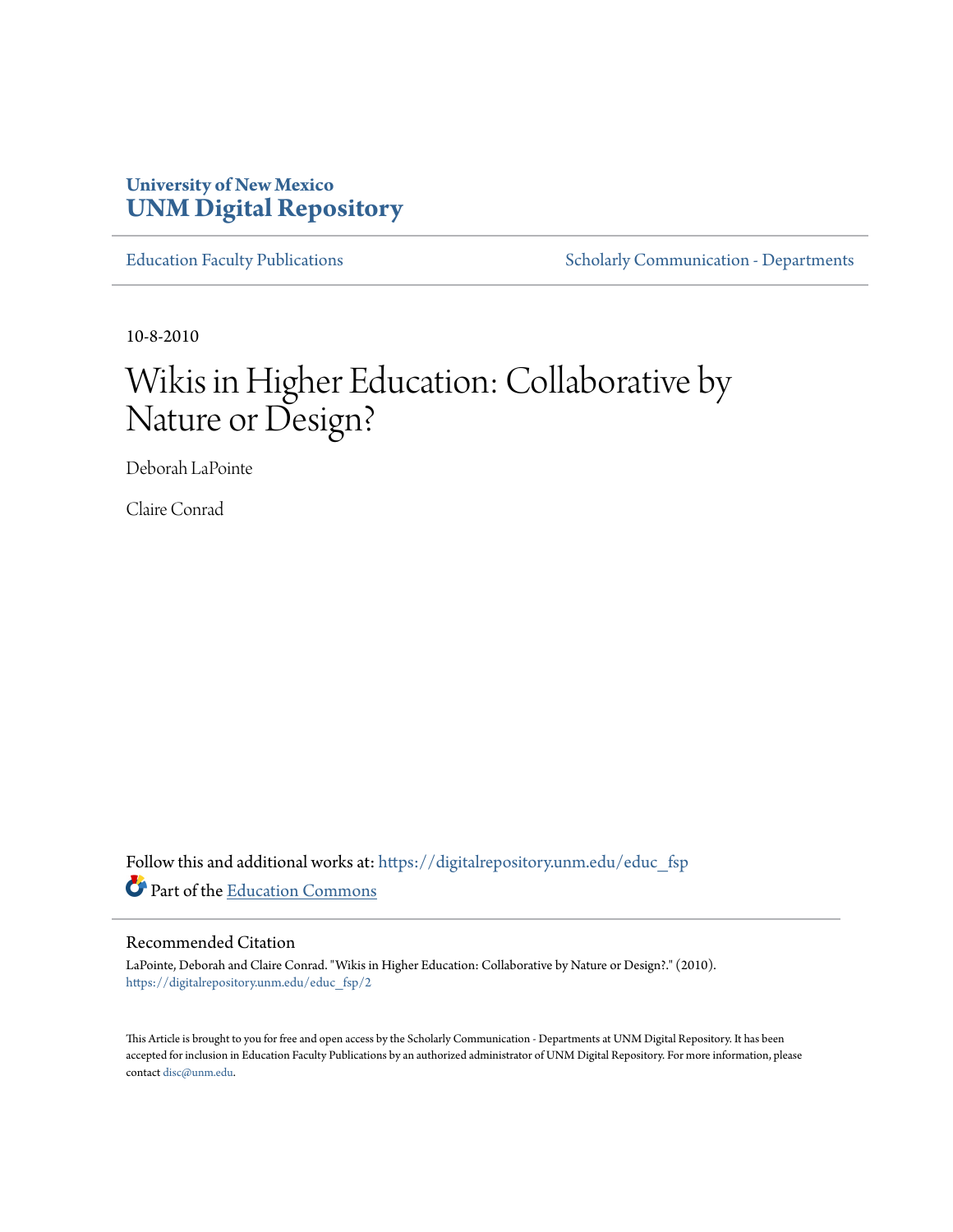# **University of New Mexico [UNM Digital Repository](https://digitalrepository.unm.edu?utm_source=digitalrepository.unm.edu%2Feduc_fsp%2F2&utm_medium=PDF&utm_campaign=PDFCoverPages)**

[Education Faculty Publications](https://digitalrepository.unm.edu/educ_fsp?utm_source=digitalrepository.unm.edu%2Feduc_fsp%2F2&utm_medium=PDF&utm_campaign=PDFCoverPages) [Scholarly Communication - Departments](https://digitalrepository.unm.edu/departments?utm_source=digitalrepository.unm.edu%2Feduc_fsp%2F2&utm_medium=PDF&utm_campaign=PDFCoverPages)

10-8-2010

# Wikis in Higher Education: Collaborative by Nature or Design?

Deborah LaPointe

Claire Conrad

Follow this and additional works at: [https://digitalrepository.unm.edu/educ\\_fsp](https://digitalrepository.unm.edu/educ_fsp?utm_source=digitalrepository.unm.edu%2Feduc_fsp%2F2&utm_medium=PDF&utm_campaign=PDFCoverPages) Part of the [Education Commons](http://network.bepress.com/hgg/discipline/784?utm_source=digitalrepository.unm.edu%2Feduc_fsp%2F2&utm_medium=PDF&utm_campaign=PDFCoverPages)

# Recommended Citation

LaPointe, Deborah and Claire Conrad. "Wikis in Higher Education: Collaborative by Nature or Design?." (2010). [https://digitalrepository.unm.edu/educ\\_fsp/2](https://digitalrepository.unm.edu/educ_fsp/2?utm_source=digitalrepository.unm.edu%2Feduc_fsp%2F2&utm_medium=PDF&utm_campaign=PDFCoverPages)

This Article is brought to you for free and open access by the Scholarly Communication - Departments at UNM Digital Repository. It has been accepted for inclusion in Education Faculty Publications by an authorized administrator of UNM Digital Repository. For more information, please contact [disc@unm.edu.](mailto:disc@unm.edu)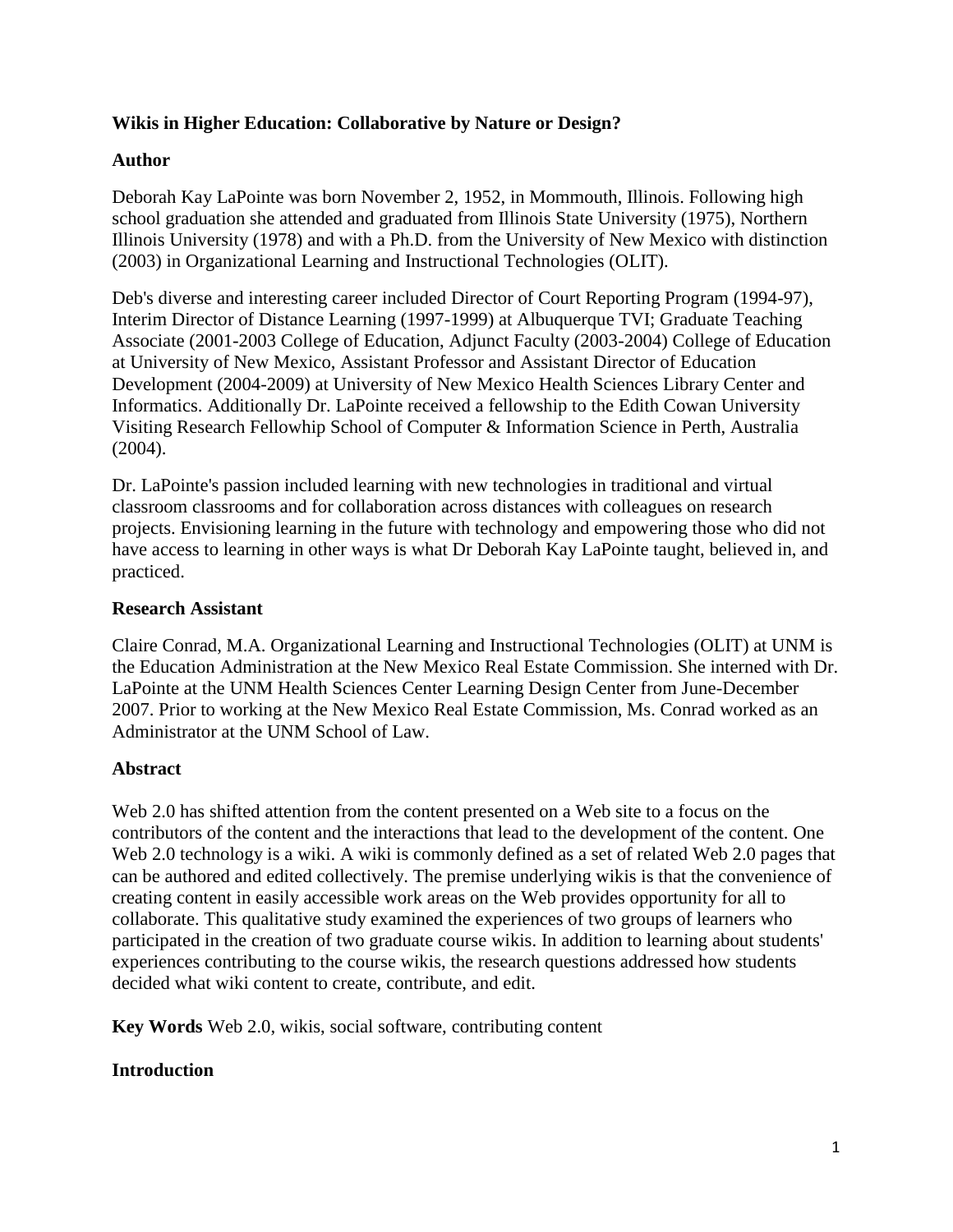# **Wikis in Higher Education: Collaborative by Nature or Design?**

# **Author**

Deborah Kay LaPointe was born November 2, 1952, in Mommouth, Illinois. Following high school graduation she attended and graduated from Illinois State University (1975), Northern Illinois University (1978) and with a Ph.D. from the University of New Mexico with distinction (2003) in Organizational Learning and Instructional Technologies (OLIT).

Deb's diverse and interesting career included Director of Court Reporting Program (1994-97), Interim Director of Distance Learning (1997-1999) at Albuquerque TVI; Graduate Teaching Associate (2001-2003 College of Education, Adjunct Faculty (2003-2004) College of Education at University of New Mexico, Assistant Professor and Assistant Director of Education Development (2004-2009) at University of New Mexico Health Sciences Library Center and Informatics. Additionally Dr. LaPointe received a fellowship to the Edith Cowan University Visiting Research Fellowhip School of Computer & Information Science in Perth, Australia (2004).

Dr. LaPointe's passion included learning with new technologies in traditional and virtual classroom classrooms and for collaboration across distances with colleagues on research projects. Envisioning learning in the future with technology and empowering those who did not have access to learning in other ways is what Dr Deborah Kay LaPointe taught, believed in, and practiced.

# **Research Assistant**

Claire Conrad, M.A. Organizational Learning and Instructional Technologies (OLIT) at UNM is the Education Administration at the New Mexico Real Estate Commission. She interned with Dr. LaPointe at the UNM Health Sciences Center Learning Design Center from June-December 2007. Prior to working at the New Mexico Real Estate Commission, Ms. Conrad worked as an Administrator at the UNM School of Law.

# **Abstract**

Web 2.0 has shifted attention from the content presented on a Web site to a focus on the contributors of the content and the interactions that lead to the development of the content. One Web 2.0 technology is a wiki. A wiki is commonly defined as a set of related Web 2.0 pages that can be authored and edited collectively. The premise underlying wikis is that the convenience of creating content in easily accessible work areas on the Web provides opportunity for all to collaborate. This qualitative study examined the experiences of two groups of learners who participated in the creation of two graduate course wikis. In addition to learning about students' experiences contributing to the course wikis, the research questions addressed how students decided what wiki content to create, contribute, and edit.

**Key Words** Web 2.0, wikis, social software, contributing content

# **Introduction**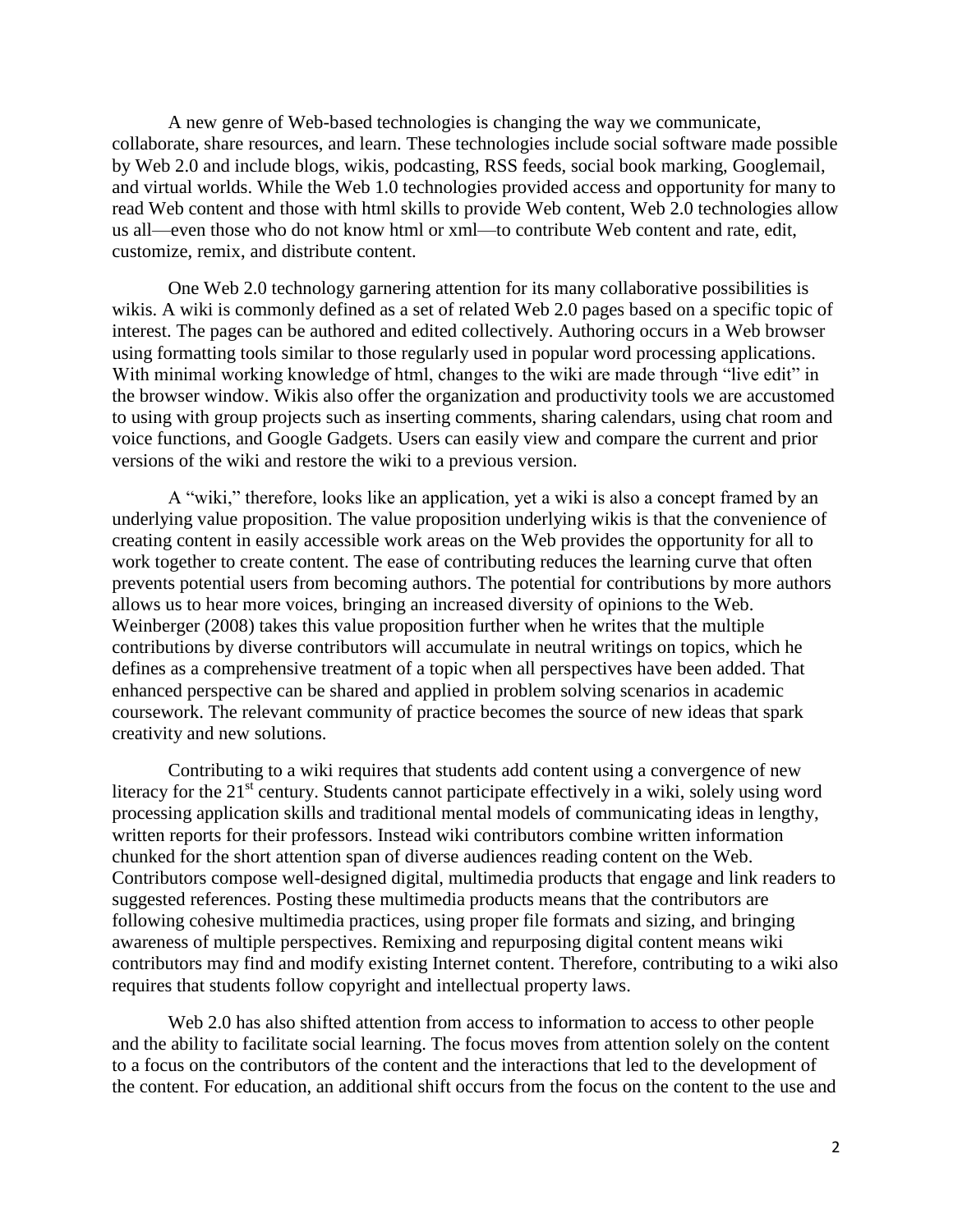A new genre of Web-based technologies is changing the way we communicate, collaborate, share resources, and learn. These technologies include social software made possible by Web 2.0 and include blogs, wikis, podcasting, RSS feeds, social book marking, Googlemail, and virtual worlds. While the Web 1.0 technologies provided access and opportunity for many to read Web content and those with html skills to provide Web content, Web 2.0 technologies allow us all—even those who do not know html or xml—to contribute Web content and rate, edit, customize, remix, and distribute content.

One Web 2.0 technology garnering attention for its many collaborative possibilities is wikis. A wiki is commonly defined as a set of related Web 2.0 pages based on a specific topic of interest. The pages can be authored and edited collectively. Authoring occurs in a Web browser using formatting tools similar to those regularly used in popular word processing applications. With minimal working knowledge of html, changes to the wiki are made through "live edit" in the browser window. Wikis also offer the organization and productivity tools we are accustomed to using with group projects such as inserting comments, sharing calendars, using chat room and voice functions, and Google Gadgets. Users can easily view and compare the current and prior versions of the wiki and restore the wiki to a previous version.

A "wiki," therefore, looks like an application, yet a wiki is also a concept framed by an underlying value proposition. The value proposition underlying wikis is that the convenience of creating content in easily accessible work areas on the Web provides the opportunity for all to work together to create content. The ease of contributing reduces the learning curve that often prevents potential users from becoming authors. The potential for contributions by more authors allows us to hear more voices, bringing an increased diversity of opinions to the Web. Weinberger (2008) takes this value proposition further when he writes that the multiple contributions by diverse contributors will accumulate in neutral writings on topics, which he defines as a comprehensive treatment of a topic when all perspectives have been added. That enhanced perspective can be shared and applied in problem solving scenarios in academic coursework. The relevant community of practice becomes the source of new ideas that spark creativity and new solutions.

Contributing to a wiki requires that students add content using a convergence of new literacy for the  $21<sup>st</sup>$  century. Students cannot participate effectively in a wiki, solely using word processing application skills and traditional mental models of communicating ideas in lengthy, written reports for their professors. Instead wiki contributors combine written information chunked for the short attention span of diverse audiences reading content on the Web. Contributors compose well-designed digital, multimedia products that engage and link readers to suggested references. Posting these multimedia products means that the contributors are following cohesive multimedia practices, using proper file formats and sizing, and bringing awareness of multiple perspectives. Remixing and repurposing digital content means wiki contributors may find and modify existing Internet content. Therefore, contributing to a wiki also requires that students follow copyright and intellectual property laws.

Web 2.0 has also shifted attention from access to information to access to other people and the ability to facilitate social learning. The focus moves from attention solely on the content to a focus on the contributors of the content and the interactions that led to the development of the content. For education, an additional shift occurs from the focus on the content to the use and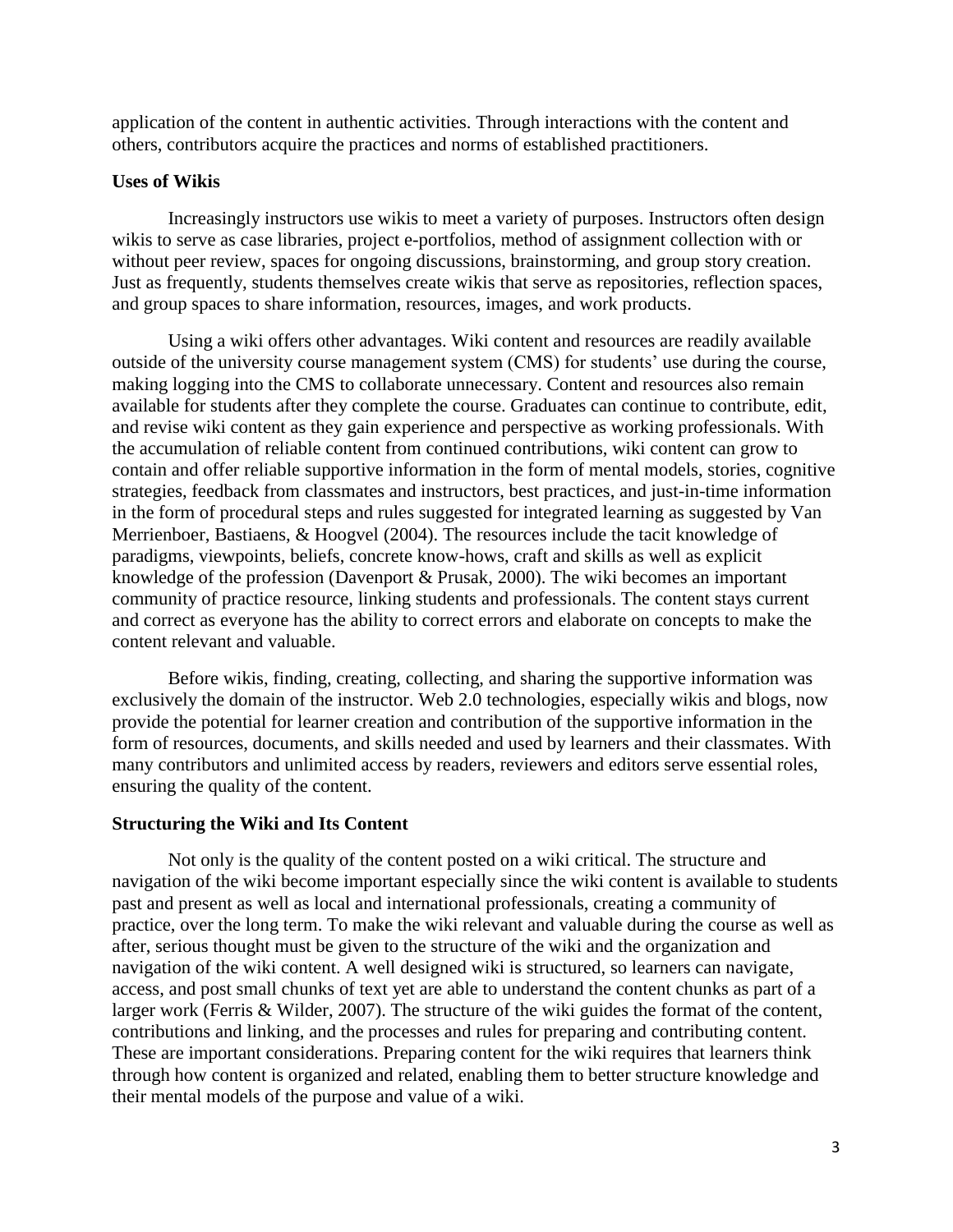application of the content in authentic activities. Through interactions with the content and others, contributors acquire the practices and norms of established practitioners.

# **Uses of Wikis**

Increasingly instructors use wikis to meet a variety of purposes. Instructors often design wikis to serve as case libraries, project e-portfolios, method of assignment collection with or without peer review, spaces for ongoing discussions, brainstorming, and group story creation. Just as frequently, students themselves create wikis that serve as repositories, reflection spaces, and group spaces to share information, resources, images, and work products.

Using a wiki offers other advantages. Wiki content and resources are readily available outside of the university course management system (CMS) for students' use during the course, making logging into the CMS to collaborate unnecessary. Content and resources also remain available for students after they complete the course. Graduates can continue to contribute, edit, and revise wiki content as they gain experience and perspective as working professionals. With the accumulation of reliable content from continued contributions, wiki content can grow to contain and offer reliable supportive information in the form of mental models, stories, cognitive strategies, feedback from classmates and instructors, best practices, and just-in-time information in the form of procedural steps and rules suggested for integrated learning as suggested by Van Merrienboer, Bastiaens, & Hoogvel (2004). The resources include the tacit knowledge of paradigms, viewpoints, beliefs, concrete know-hows, craft and skills as well as explicit knowledge of the profession (Davenport & Prusak, 2000). The wiki becomes an important community of practice resource, linking students and professionals. The content stays current and correct as everyone has the ability to correct errors and elaborate on concepts to make the content relevant and valuable.

Before wikis, finding, creating, collecting, and sharing the supportive information was exclusively the domain of the instructor. Web 2.0 technologies, especially wikis and blogs, now provide the potential for learner creation and contribution of the supportive information in the form of resources, documents, and skills needed and used by learners and their classmates. With many contributors and unlimited access by readers, reviewers and editors serve essential roles, ensuring the quality of the content.

## **Structuring the Wiki and Its Content**

Not only is the quality of the content posted on a wiki critical. The structure and navigation of the wiki become important especially since the wiki content is available to students past and present as well as local and international professionals, creating a community of practice, over the long term. To make the wiki relevant and valuable during the course as well as after, serious thought must be given to the structure of the wiki and the organization and navigation of the wiki content. A well designed wiki is structured, so learners can navigate, access, and post small chunks of text yet are able to understand the content chunks as part of a larger work (Ferris & Wilder, 2007). The structure of the wiki guides the format of the content, contributions and linking, and the processes and rules for preparing and contributing content. These are important considerations. Preparing content for the wiki requires that learners think through how content is organized and related, enabling them to better structure knowledge and their mental models of the purpose and value of a wiki.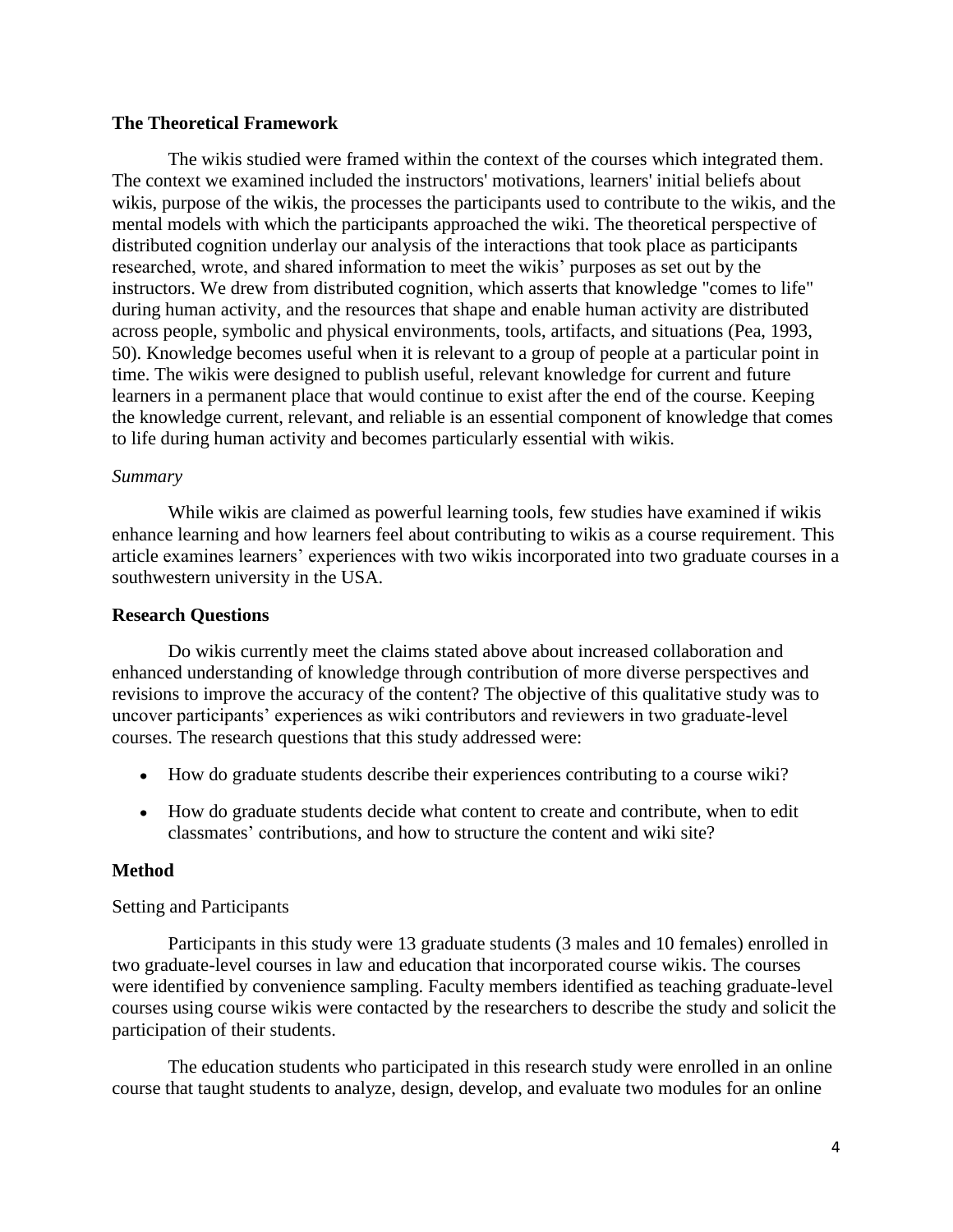# **The Theoretical Framework**

The wikis studied were framed within the context of the courses which integrated them. The context we examined included the instructors' motivations, learners' initial beliefs about wikis, purpose of the wikis, the processes the participants used to contribute to the wikis, and the mental models with which the participants approached the wiki. The theoretical perspective of distributed cognition underlay our analysis of the interactions that took place as participants researched, wrote, and shared information to meet the wikis' purposes as set out by the instructors. We drew from distributed cognition, which asserts that knowledge "comes to life" during human activity, and the resources that shape and enable human activity are distributed across people, symbolic and physical environments, tools, artifacts, and situations (Pea, 1993, 50). Knowledge becomes useful when it is relevant to a group of people at a particular point in time. The wikis were designed to publish useful, relevant knowledge for current and future learners in a permanent place that would continue to exist after the end of the course. Keeping the knowledge current, relevant, and reliable is an essential component of knowledge that comes to life during human activity and becomes particularly essential with wikis.

## *Summary*

While wikis are claimed as powerful learning tools, few studies have examined if wikis enhance learning and how learners feel about contributing to wikis as a course requirement. This article examines learners' experiences with two wikis incorporated into two graduate courses in a southwestern university in the USA.

# **Research Questions**

Do wikis currently meet the claims stated above about increased collaboration and enhanced understanding of knowledge through contribution of more diverse perspectives and revisions to improve the accuracy of the content? The objective of this qualitative study was to uncover participants' experiences as wiki contributors and reviewers in two graduate-level courses. The research questions that this study addressed were:

- How do graduate students describe their experiences contributing to a course wiki?
- How do graduate students decide what content to create and contribute, when to edit classmates' contributions, and how to structure the content and wiki site?

## **Method**

# Setting and Participants

Participants in this study were 13 graduate students (3 males and 10 females) enrolled in two graduate-level courses in law and education that incorporated course wikis. The courses were identified by convenience sampling. Faculty members identified as teaching graduate-level courses using course wikis were contacted by the researchers to describe the study and solicit the participation of their students.

The education students who participated in this research study were enrolled in an online course that taught students to analyze, design, develop, and evaluate two modules for an online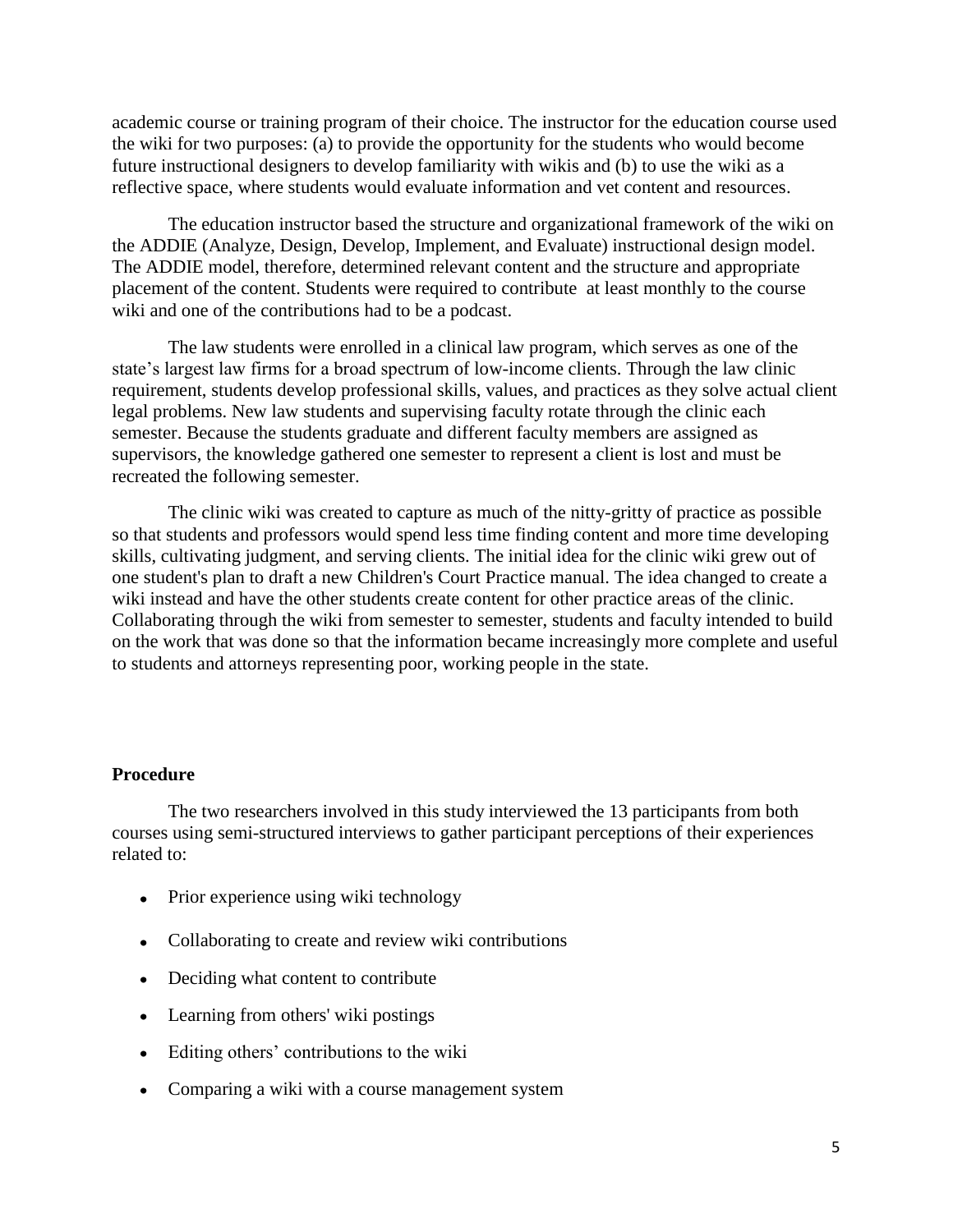academic course or training program of their choice. The instructor for the education course used the wiki for two purposes: (a) to provide the opportunity for the students who would become future instructional designers to develop familiarity with wikis and (b) to use the wiki as a reflective space, where students would evaluate information and vet content and resources.

The education instructor based the structure and organizational framework of the wiki on the ADDIE (Analyze, Design, Develop, Implement, and Evaluate) instructional design model. The ADDIE model, therefore, determined relevant content and the structure and appropriate placement of the content. Students were required to contribute at least monthly to the course wiki and one of the contributions had to be a podcast.

The law students were enrolled in a clinical law program, which serves as one of the state's largest law firms for a broad spectrum of low-income clients. Through the law clinic requirement, students develop professional skills, values, and practices as they solve actual client legal problems. New law students and supervising faculty rotate through the clinic each semester. Because the students graduate and different faculty members are assigned as supervisors, the knowledge gathered one semester to represent a client is lost and must be recreated the following semester.

The clinic wiki was created to capture as much of the nitty-gritty of practice as possible so that students and professors would spend less time finding content and more time developing skills, cultivating judgment, and serving clients. The initial idea for the clinic wiki grew out of one student's plan to draft a new Children's Court Practice manual. The idea changed to create a wiki instead and have the other students create content for other practice areas of the clinic. Collaborating through the wiki from semester to semester, students and faculty intended to build on the work that was done so that the information became increasingly more complete and useful to students and attorneys representing poor, working people in the state.

#### **Procedure**

The two researchers involved in this study interviewed the 13 participants from both courses using semi-structured interviews to gather participant perceptions of their experiences related to:

- Prior experience using wiki technology
- Collaborating to create and review wiki contributions
- Deciding what content to contribute
- Learning from others' wiki postings
- Editing others' contributions to the wiki
- Comparing a wiki with a course management system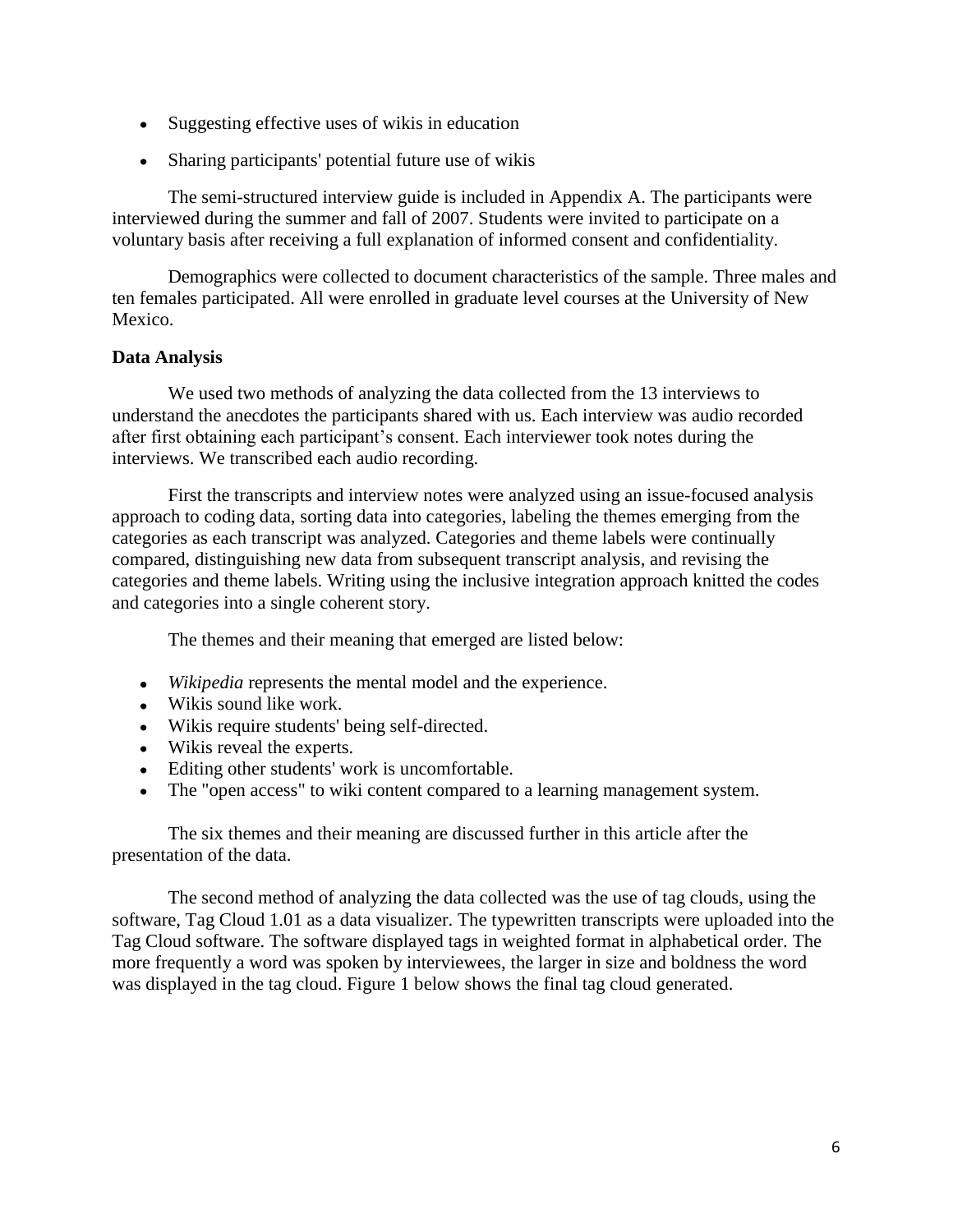- Suggesting effective uses of wikis in education
- Sharing participants' potential future use of wikis

The semi-structured interview guide is included in Appendix A. The participants were interviewed during the summer and fall of 2007. Students were invited to participate on a voluntary basis after receiving a full explanation of informed consent and confidentiality.

Demographics were collected to document characteristics of the sample. Three males and ten females participated. All were enrolled in graduate level courses at the University of New Mexico.

# **Data Analysis**

We used two methods of analyzing the data collected from the 13 interviews to understand the anecdotes the participants shared with us. Each interview was audio recorded after first obtaining each participant's consent. Each interviewer took notes during the interviews. We transcribed each audio recording.

First the transcripts and interview notes were analyzed using an issue-focused analysis approach to coding data, sorting data into categories, labeling the themes emerging from the categories as each transcript was analyzed. Categories and theme labels were continually compared, distinguishing new data from subsequent transcript analysis, and revising the categories and theme labels. Writing using the inclusive integration approach knitted the codes and categories into a single coherent story.

The themes and their meaning that emerged are listed below:

- *Wikipedia* represents the mental model and the experience.
- Wikis sound like work.
- Wikis require students' being self-directed.
- Wikis reveal the experts.
- Editing other students' work is uncomfortable.
- The "open access" to wiki content compared to a learning management system.

The six themes and their meaning are discussed further in this article after the presentation of the data.

The second method of analyzing the data collected was the use of tag clouds, using the software, Tag Cloud 1.01 as a data visualizer. The typewritten transcripts were uploaded into the Tag Cloud software. The software displayed tags in weighted format in alphabetical order. The more frequently a word was spoken by interviewees, the larger in size and boldness the word was displayed in the tag cloud. Figure 1 below shows the final tag cloud generated.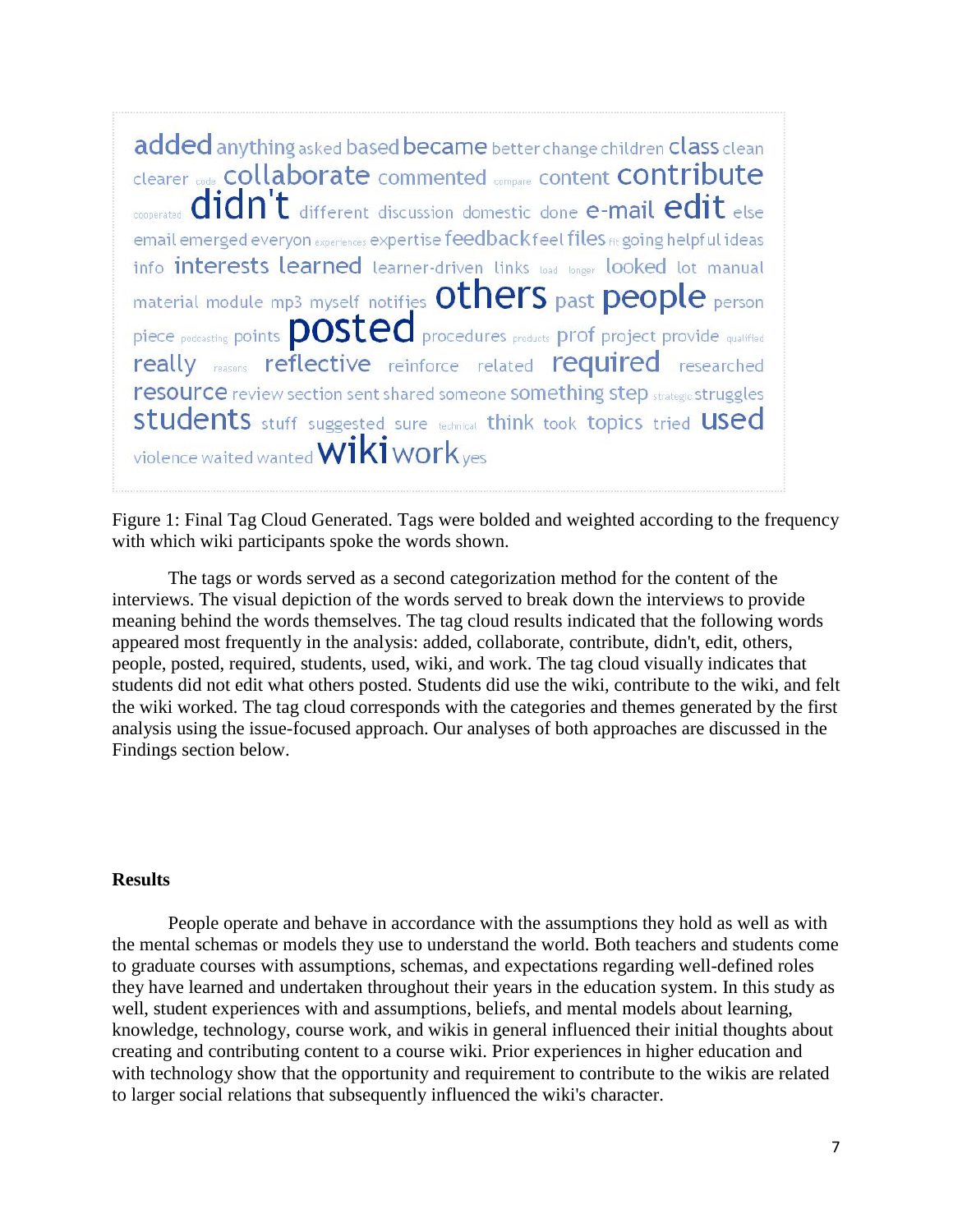added anything asked based became better change children class clean clearer code **COllaborate** commented compare content **CONtribute** cooperated **didn't** different discussion domestic done e-mail edit else email emerged everyon experiences expertise feedback feel files fit going helpful ideas info interests learned learner-driven links load longer looked lot manual material module mp3 myself notifies Others past people person piece podcasting points **posted** procedures products prof project provide qualified really reasons reflective reinforce related required researched resource review section sent shared someone something step strategic struggles students stuff suggested sure technical think took topics tried used violence waited wanted **Wiki work** yes

Figure 1: Final Tag Cloud Generated. Tags were bolded and weighted according to the frequency with which wiki participants spoke the words shown.

The tags or words served as a second categorization method for the content of the interviews. The visual depiction of the words served to break down the interviews to provide meaning behind the words themselves. The tag cloud results indicated that the following words appeared most frequently in the analysis: added, collaborate, contribute, didn't, edit, others, people, posted, required, students, used, wiki, and work. The tag cloud visually indicates that students did not edit what others posted. Students did use the wiki, contribute to the wiki, and felt the wiki worked. The tag cloud corresponds with the categories and themes generated by the first analysis using the issue-focused approach. Our analyses of both approaches are discussed in the Findings section below.

# **Results**

People operate and behave in accordance with the assumptions they hold as well as with the mental schemas or models they use to understand the world. Both teachers and students come to graduate courses with assumptions, schemas, and expectations regarding well-defined roles they have learned and undertaken throughout their years in the education system. In this study as well, student experiences with and assumptions, beliefs, and mental models about learning, knowledge, technology, course work, and wikis in general influenced their initial thoughts about creating and contributing content to a course wiki. Prior experiences in higher education and with technology show that the opportunity and requirement to contribute to the wikis are related to larger social relations that subsequently influenced the wiki's character.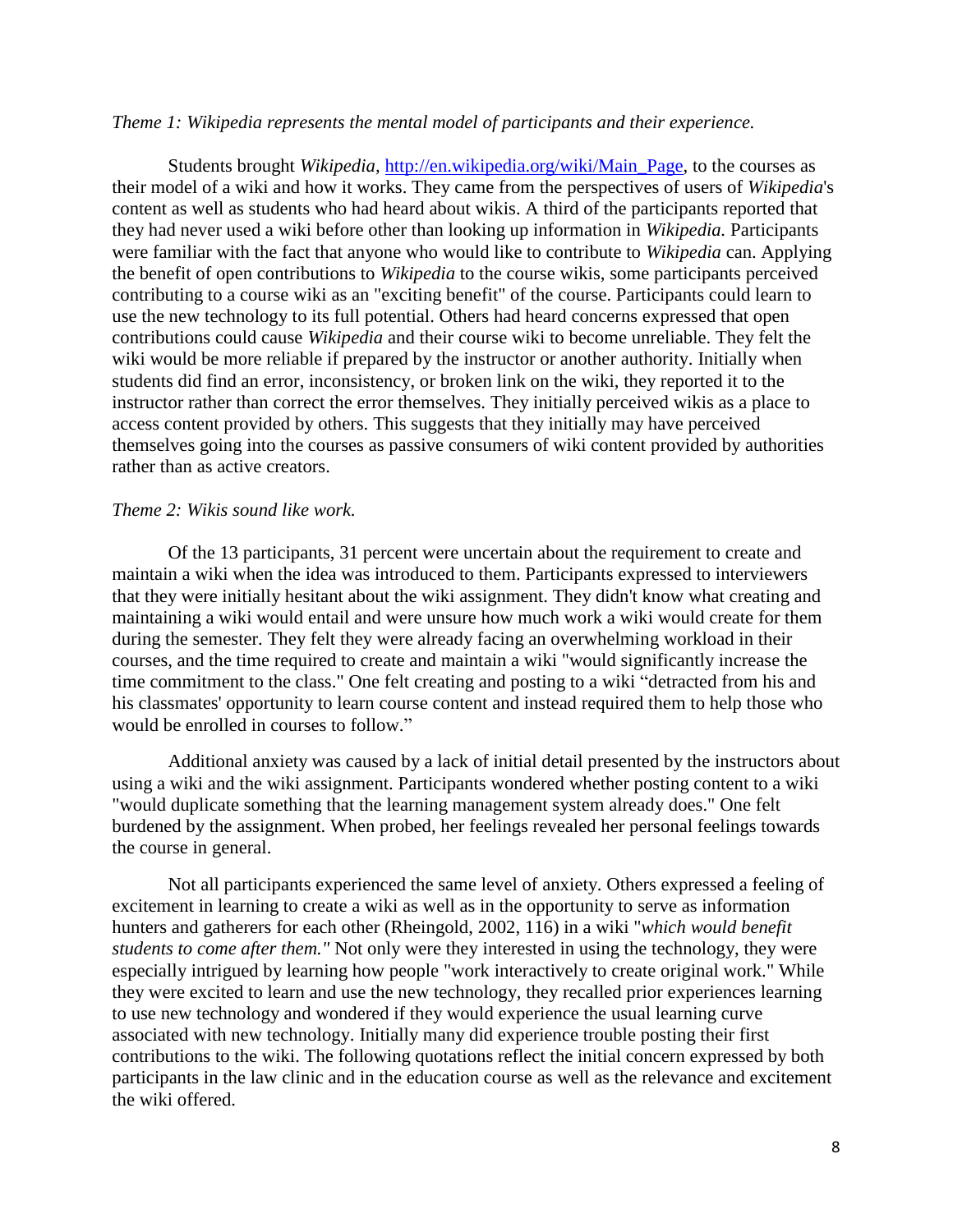#### *Theme 1: Wikipedia represents the mental model of participants and their experience.*

Students brought *Wikipedia,* [http://en.wikipedia.org/wiki/Main\\_Page,](http://en.wikipedia.org/wiki/Main_Page) to the courses as their model of a wiki and how it works. They came from the perspectives of users of *Wikipedia*'s content as well as students who had heard about wikis. A third of the participants reported that they had never used a wiki before other than looking up information in *Wikipedia.* Participants were familiar with the fact that anyone who would like to contribute to *Wikipedia* can. Applying the benefit of open contributions to *Wikipedia* to the course wikis, some participants perceived contributing to a course wiki as an "exciting benefit" of the course. Participants could learn to use the new technology to its full potential. Others had heard concerns expressed that open contributions could cause *Wikipedia* and their course wiki to become unreliable. They felt the wiki would be more reliable if prepared by the instructor or another authority. Initially when students did find an error, inconsistency, or broken link on the wiki, they reported it to the instructor rather than correct the error themselves. They initially perceived wikis as a place to access content provided by others. This suggests that they initially may have perceived themselves going into the courses as passive consumers of wiki content provided by authorities rather than as active creators.

## *Theme 2: Wikis sound like work.*

Of the 13 participants, 31 percent were uncertain about the requirement to create and maintain a wiki when the idea was introduced to them. Participants expressed to interviewers that they were initially hesitant about the wiki assignment. They didn't know what creating and maintaining a wiki would entail and were unsure how much work a wiki would create for them during the semester. They felt they were already facing an overwhelming workload in their courses, and the time required to create and maintain a wiki "would significantly increase the time commitment to the class." One felt creating and posting to a wiki "detracted from his and his classmates' opportunity to learn course content and instead required them to help those who would be enrolled in courses to follow."

Additional anxiety was caused by a lack of initial detail presented by the instructors about using a wiki and the wiki assignment. Participants wondered whether posting content to a wiki "would duplicate something that the learning management system already does." One felt burdened by the assignment. When probed, her feelings revealed her personal feelings towards the course in general.

Not all participants experienced the same level of anxiety. Others expressed a feeling of excitement in learning to create a wiki as well as in the opportunity to serve as information hunters and gatherers for each other (Rheingold, 2002, 116) in a wiki "*which would benefit students to come after them."* Not only were they interested in using the technology, they were especially intrigued by learning how people "work interactively to create original work." While they were excited to learn and use the new technology, they recalled prior experiences learning to use new technology and wondered if they would experience the usual learning curve associated with new technology. Initially many did experience trouble posting their first contributions to the wiki. The following quotations reflect the initial concern expressed by both participants in the law clinic and in the education course as well as the relevance and excitement the wiki offered.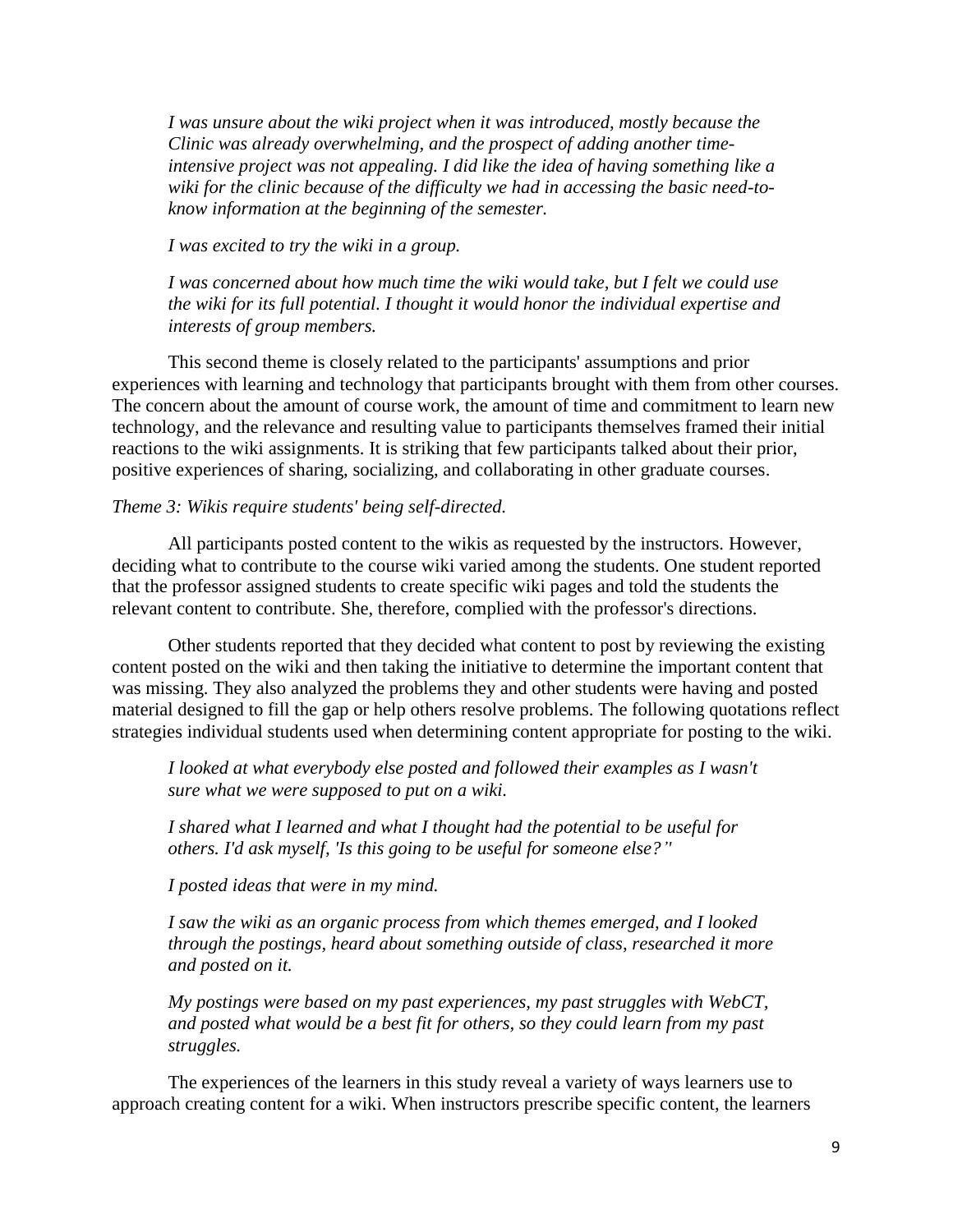*I was unsure about the wiki project when it was introduced, mostly because the Clinic was already overwhelming, and the prospect of adding another timeintensive project was not appealing. I did like the idea of having something like a wiki for the clinic because of the difficulty we had in accessing the basic need-toknow information at the beginning of the semester.*

*I was excited to try the wiki in a group.* 

*I was concerned about how much time the wiki would take, but I felt we could use the wiki for its full potential. I thought it would honor the individual expertise and interests of group members.*

This second theme is closely related to the participants' assumptions and prior experiences with learning and technology that participants brought with them from other courses. The concern about the amount of course work, the amount of time and commitment to learn new technology, and the relevance and resulting value to participants themselves framed their initial reactions to the wiki assignments. It is striking that few participants talked about their prior, positive experiences of sharing, socializing, and collaborating in other graduate courses.

#### *Theme 3: Wikis require students' being self-directed.*

All participants posted content to the wikis as requested by the instructors. However, deciding what to contribute to the course wiki varied among the students. One student reported that the professor assigned students to create specific wiki pages and told the students the relevant content to contribute. She, therefore, complied with the professor's directions.

Other students reported that they decided what content to post by reviewing the existing content posted on the wiki and then taking the initiative to determine the important content that was missing. They also analyzed the problems they and other students were having and posted material designed to fill the gap or help others resolve problems. The following quotations reflect strategies individual students used when determining content appropriate for posting to the wiki.

*I looked at what everybody else posted and followed their examples as I wasn't sure what we were supposed to put on a wiki.*

*I shared what I learned and what I thought had the potential to be useful for others. I'd ask myself, 'Is this going to be useful for someone else?''*

*I posted ideas that were in my mind.*

*I saw the wiki as an organic process from which themes emerged, and I looked through the postings, heard about something outside of class, researched it more and posted on it.*

*My postings were based on my past experiences, my past struggles with WebCT, and posted what would be a best fit for others, so they could learn from my past struggles.*

The experiences of the learners in this study reveal a variety of ways learners use to approach creating content for a wiki. When instructors prescribe specific content, the learners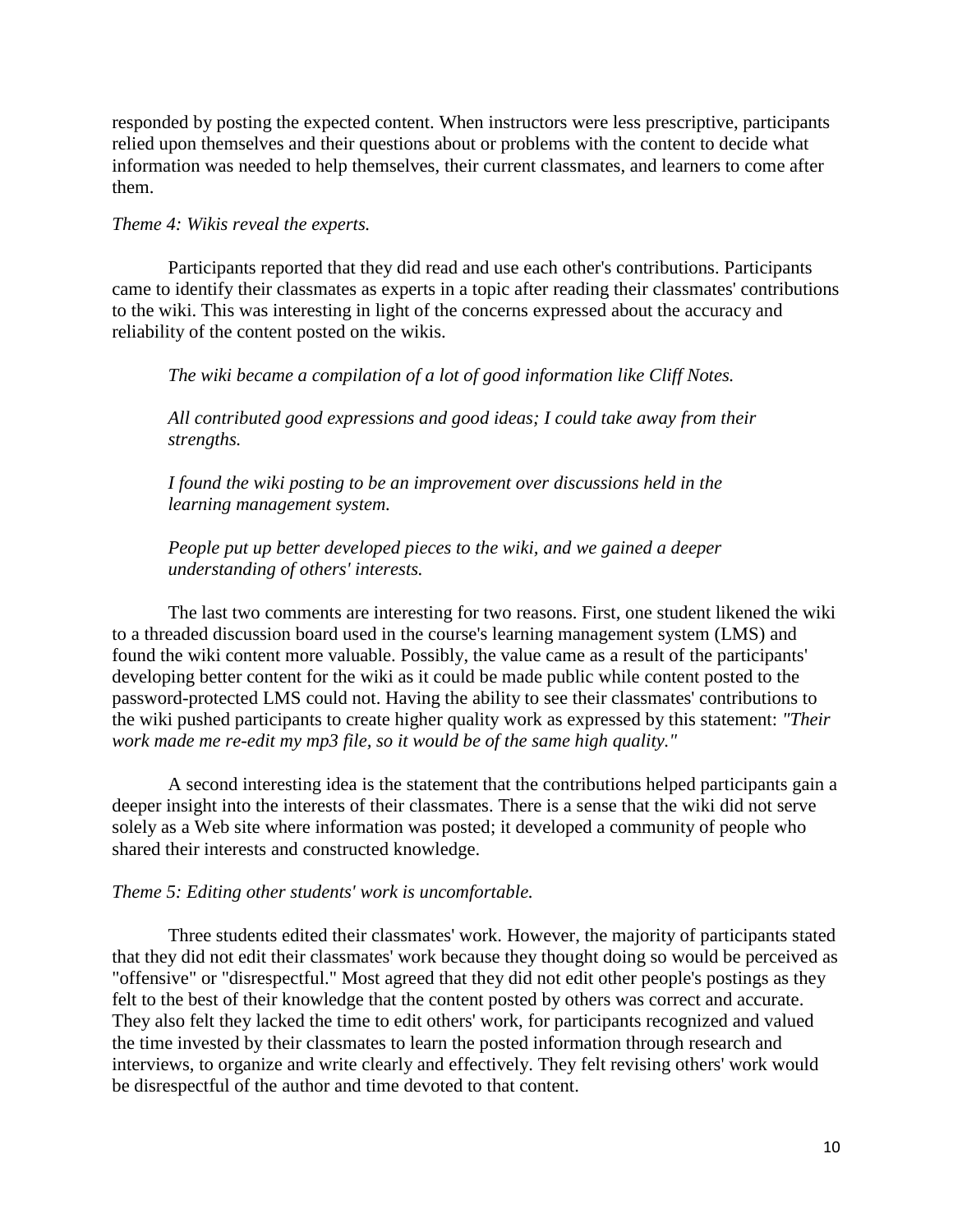responded by posting the expected content. When instructors were less prescriptive, participants relied upon themselves and their questions about or problems with the content to decide what information was needed to help themselves, their current classmates, and learners to come after them.

# *Theme 4: Wikis reveal the experts.*

Participants reported that they did read and use each other's contributions. Participants came to identify their classmates as experts in a topic after reading their classmates' contributions to the wiki. This was interesting in light of the concerns expressed about the accuracy and reliability of the content posted on the wikis.

*The wiki became a compilation of a lot of good information like Cliff Notes.* 

*All contributed good expressions and good ideas; I could take away from their strengths.*

*I found the wiki posting to be an improvement over discussions held in the learning management system.*

*People put up better developed pieces to the wiki, and we gained a deeper understanding of others' interests.*

The last two comments are interesting for two reasons. First, one student likened the wiki to a threaded discussion board used in the course's learning management system (LMS) and found the wiki content more valuable. Possibly, the value came as a result of the participants' developing better content for the wiki as it could be made public while content posted to the password-protected LMS could not. Having the ability to see their classmates' contributions to the wiki pushed participants to create higher quality work as expressed by this statement: *"Their work made me re-edit my mp3 file, so it would be of the same high quality."*

A second interesting idea is the statement that the contributions helped participants gain a deeper insight into the interests of their classmates. There is a sense that the wiki did not serve solely as a Web site where information was posted; it developed a community of people who shared their interests and constructed knowledge.

#### *Theme 5: Editing other students' work is uncomfortable.*

Three students edited their classmates' work. However, the majority of participants stated that they did not edit their classmates' work because they thought doing so would be perceived as "offensive" or "disrespectful." Most agreed that they did not edit other people's postings as they felt to the best of their knowledge that the content posted by others was correct and accurate. They also felt they lacked the time to edit others' work, for participants recognized and valued the time invested by their classmates to learn the posted information through research and interviews, to organize and write clearly and effectively. They felt revising others' work would be disrespectful of the author and time devoted to that content.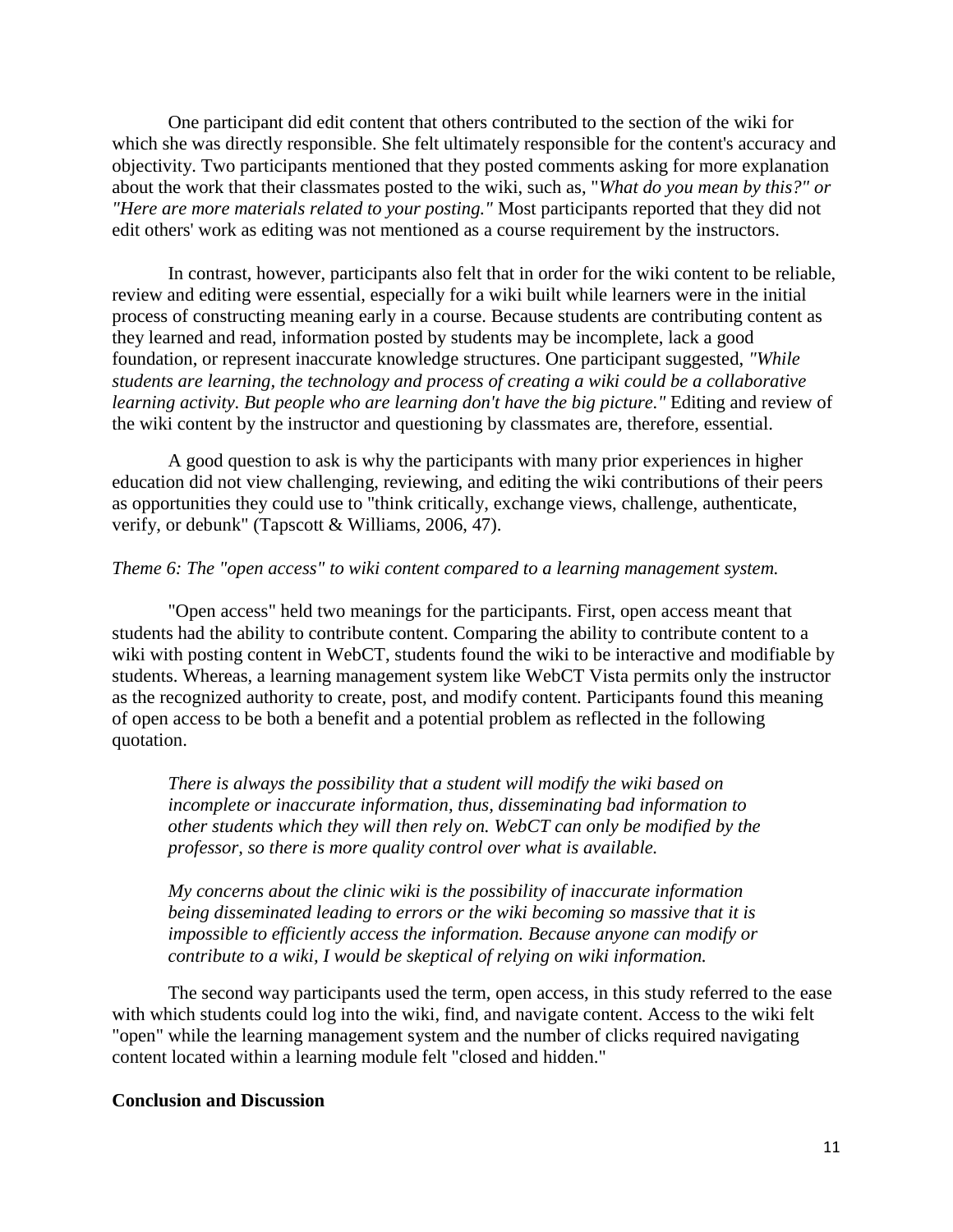One participant did edit content that others contributed to the section of the wiki for which she was directly responsible. She felt ultimately responsible for the content's accuracy and objectivity. Two participants mentioned that they posted comments asking for more explanation about the work that their classmates posted to the wiki, such as, "*What do you mean by this?" or "Here are more materials related to your posting."* Most participants reported that they did not edit others' work as editing was not mentioned as a course requirement by the instructors.

In contrast, however, participants also felt that in order for the wiki content to be reliable, review and editing were essential, especially for a wiki built while learners were in the initial process of constructing meaning early in a course. Because students are contributing content as they learned and read, information posted by students may be incomplete, lack a good foundation, or represent inaccurate knowledge structures. One participant suggested, *"While students are learning, the technology and process of creating a wiki could be a collaborative learning activity. But people who are learning don't have the big picture."* Editing and review of the wiki content by the instructor and questioning by classmates are, therefore, essential.

A good question to ask is why the participants with many prior experiences in higher education did not view challenging, reviewing, and editing the wiki contributions of their peers as opportunities they could use to "think critically, exchange views, challenge, authenticate, verify, or debunk" (Tapscott & Williams, 2006, 47).

# *Theme 6: The "open access" to wiki content compared to a learning management system.*

"Open access" held two meanings for the participants. First, open access meant that students had the ability to contribute content. Comparing the ability to contribute content to a wiki with posting content in WebCT, students found the wiki to be interactive and modifiable by students. Whereas, a learning management system like WebCT Vista permits only the instructor as the recognized authority to create, post, and modify content. Participants found this meaning of open access to be both a benefit and a potential problem as reflected in the following quotation.

*There is always the possibility that a student will modify the wiki based on incomplete or inaccurate information, thus, disseminating bad information to other students which they will then rely on. WebCT can only be modified by the professor, so there is more quality control over what is available.*

*My concerns about the clinic wiki is the possibility of inaccurate information being disseminated leading to errors or the wiki becoming so massive that it is impossible to efficiently access the information. Because anyone can modify or contribute to a wiki, I would be skeptical of relying on wiki information.* 

The second way participants used the term, open access, in this study referred to the ease with which students could log into the wiki, find, and navigate content. Access to the wiki felt "open" while the learning management system and the number of clicks required navigating content located within a learning module felt "closed and hidden."

#### **Conclusion and Discussion**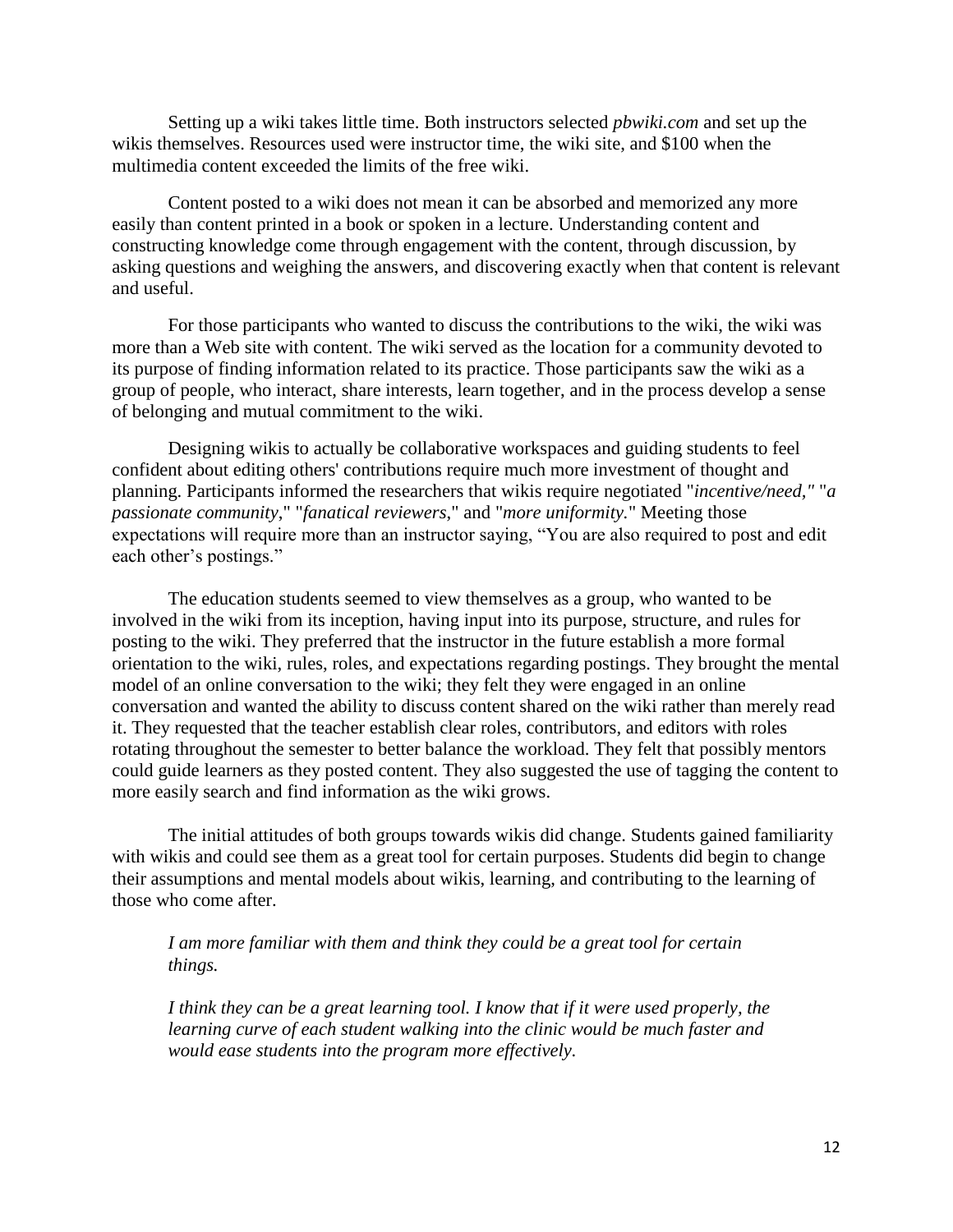Setting up a wiki takes little time. Both instructors selected *pbwiki.com* and set up the wikis themselves. Resources used were instructor time, the wiki site, and \$100 when the multimedia content exceeded the limits of the free wiki.

Content posted to a wiki does not mean it can be absorbed and memorized any more easily than content printed in a book or spoken in a lecture. Understanding content and constructing knowledge come through engagement with the content, through discussion, by asking questions and weighing the answers, and discovering exactly when that content is relevant and useful.

For those participants who wanted to discuss the contributions to the wiki, the wiki was more than a Web site with content. The wiki served as the location for a community devoted to its purpose of finding information related to its practice. Those participants saw the wiki as a group of people, who interact, share interests, learn together, and in the process develop a sense of belonging and mutual commitment to the wiki.

Designing wikis to actually be collaborative workspaces and guiding students to feel confident about editing others' contributions require much more investment of thought and planning. Participants informed the researchers that wikis require negotiated "*incentive/need,"* "*a passionate community*," "*fanatical reviewers*," and "*more uniformity.*" Meeting those expectations will require more than an instructor saying, "You are also required to post and edit each other's postings."

The education students seemed to view themselves as a group, who wanted to be involved in the wiki from its inception, having input into its purpose, structure, and rules for posting to the wiki. They preferred that the instructor in the future establish a more formal orientation to the wiki, rules, roles, and expectations regarding postings. They brought the mental model of an online conversation to the wiki; they felt they were engaged in an online conversation and wanted the ability to discuss content shared on the wiki rather than merely read it. They requested that the teacher establish clear roles, contributors, and editors with roles rotating throughout the semester to better balance the workload. They felt that possibly mentors could guide learners as they posted content. They also suggested the use of tagging the content to more easily search and find information as the wiki grows.

The initial attitudes of both groups towards wikis did change. Students gained familiarity with wikis and could see them as a great tool for certain purposes. Students did begin to change their assumptions and mental models about wikis, learning, and contributing to the learning of those who come after.

*I am more familiar with them and think they could be a great tool for certain things.* 

*I think they can be a great learning tool. I know that if it were used properly, the learning curve of each student walking into the clinic would be much faster and would ease students into the program more effectively.*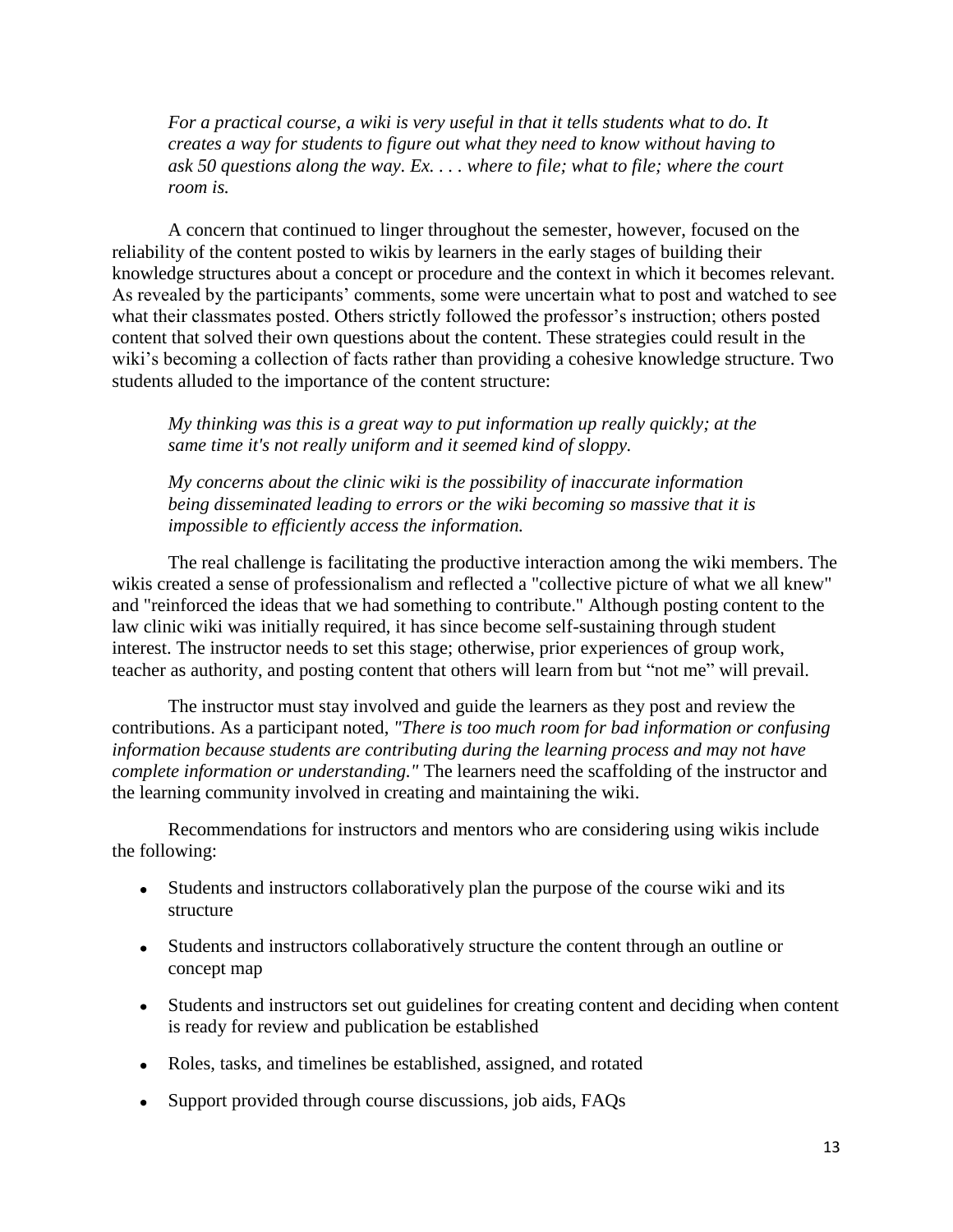*For a practical course, a wiki is very useful in that it tells students what to do. It creates a way for students to figure out what they need to know without having to ask 50 questions along the way. Ex. . . . where to file; what to file; where the court room is.*

A concern that continued to linger throughout the semester, however, focused on the reliability of the content posted to wikis by learners in the early stages of building their knowledge structures about a concept or procedure and the context in which it becomes relevant. As revealed by the participants' comments, some were uncertain what to post and watched to see what their classmates posted. Others strictly followed the professor's instruction; others posted content that solved their own questions about the content. These strategies could result in the wiki's becoming a collection of facts rather than providing a cohesive knowledge structure. Two students alluded to the importance of the content structure:

*My thinking was this is a great way to put information up really quickly; at the same time it's not really uniform and it seemed kind of sloppy.*

*My concerns about the clinic wiki is the possibility of inaccurate information being disseminated leading to errors or the wiki becoming so massive that it is impossible to efficiently access the information.*

The real challenge is facilitating the productive interaction among the wiki members. The wikis created a sense of professionalism and reflected a "collective picture of what we all knew" and "reinforced the ideas that we had something to contribute." Although posting content to the law clinic wiki was initially required, it has since become self-sustaining through student interest. The instructor needs to set this stage; otherwise, prior experiences of group work, teacher as authority, and posting content that others will learn from but "not me" will prevail.

The instructor must stay involved and guide the learners as they post and review the contributions. As a participant noted, *"There is too much room for bad information or confusing information because students are contributing during the learning process and may not have complete information or understanding."* The learners need the scaffolding of the instructor and the learning community involved in creating and maintaining the wiki.

Recommendations for instructors and mentors who are considering using wikis include the following:

- Students and instructors collaboratively plan the purpose of the course wiki and its structure
- Students and instructors collaboratively structure the content through an outline or concept map
- Students and instructors set out guidelines for creating content and deciding when content is ready for review and publication be established
- Roles, tasks, and timelines be established, assigned, and rotated
- Support provided through course discussions, job aids, FAQs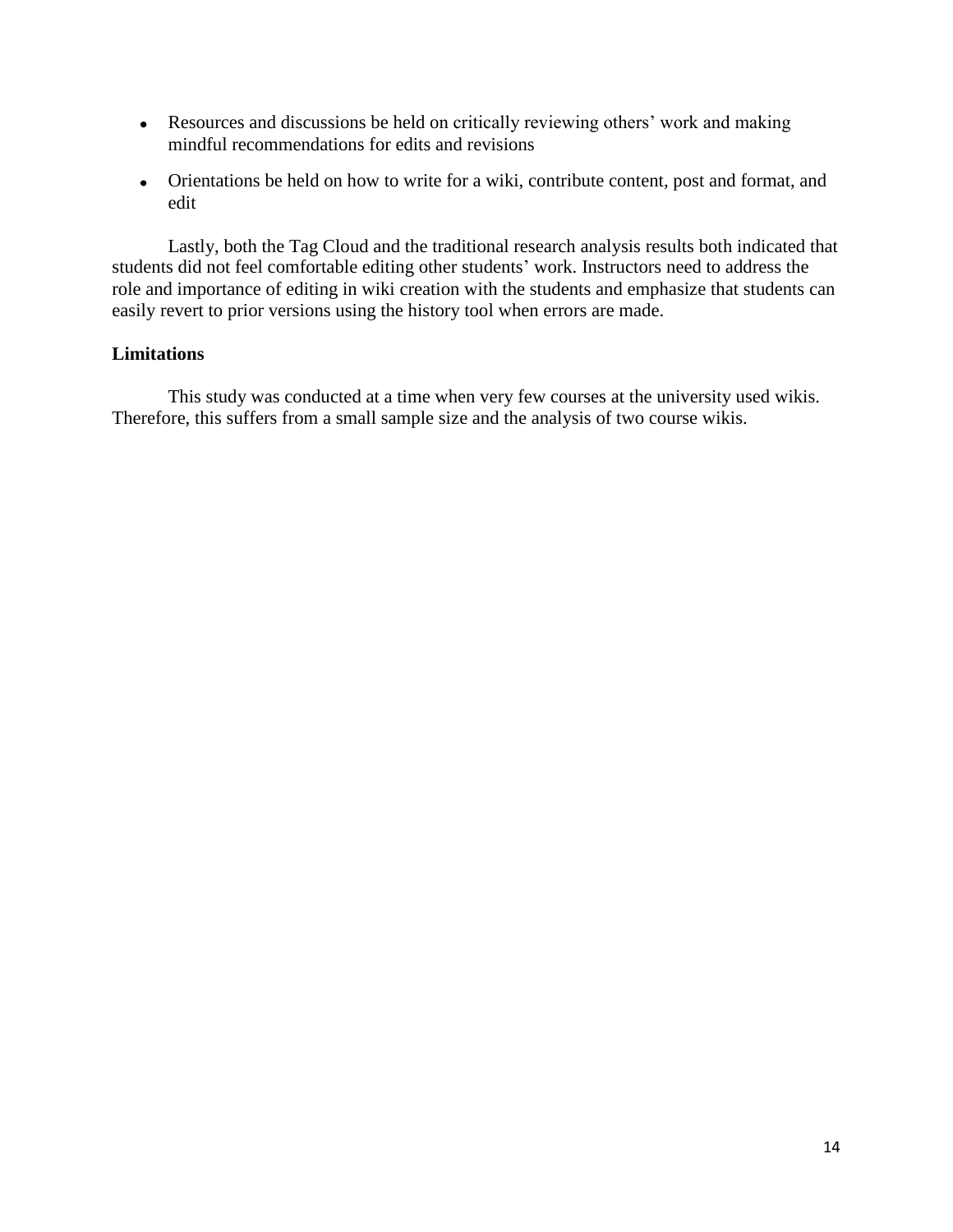- Resources and discussions be held on critically reviewing others' work and making mindful recommendations for edits and revisions
- Orientations be held on how to write for a wiki, contribute content, post and format, and edit

Lastly, both the Tag Cloud and the traditional research analysis results both indicated that students did not feel comfortable editing other students' work. Instructors need to address the role and importance of editing in wiki creation with the students and emphasize that students can easily revert to prior versions using the history tool when errors are made.

# **Limitations**

This study was conducted at a time when very few courses at the university used wikis. Therefore, this suffers from a small sample size and the analysis of two course wikis.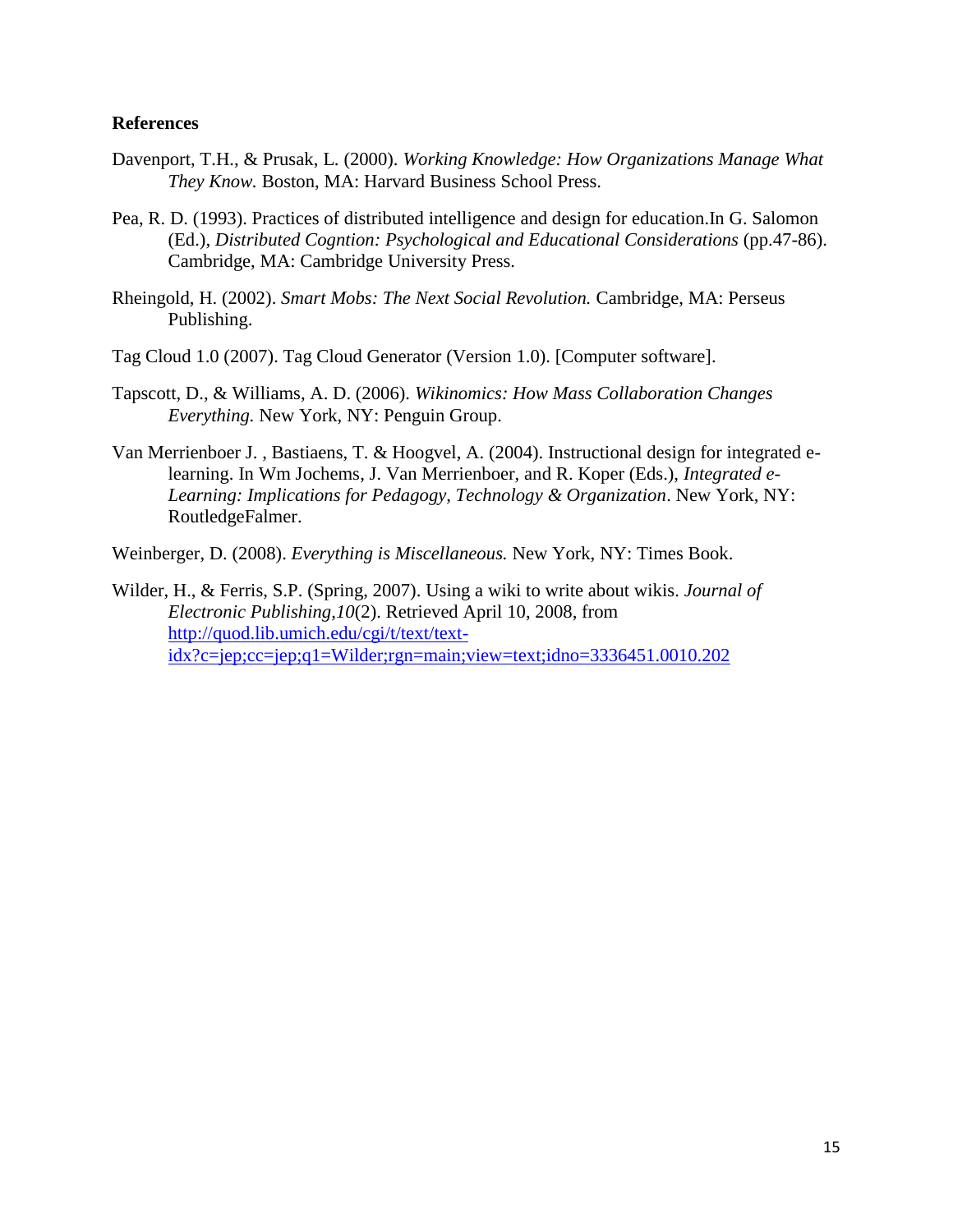# **References**

- Davenport, T.H., & Prusak, L. (2000). *Working Knowledge: How Organizations Manage What They Know.* Boston, MA: Harvard Business School Press.
- Pea, R. D. (1993). Practices of distributed intelligence and design for education.In G. Salomon (Ed.), *Distributed Cogntion: Psychological and Educational Considerations* (pp.47-86). Cambridge, MA: Cambridge University Press.
- Rheingold, H. (2002). *Smart Mobs: The Next Social Revolution.* Cambridge, MA: Perseus Publishing.
- Tag Cloud 1.0 (2007). Tag Cloud Generator (Version 1.0). [Computer software].
- Tapscott, D., & Williams, A. D. (2006). *Wikinomics: How Mass Collaboration Changes Everything.* New York, NY: Penguin Group.
- Van Merrienboer J. , Bastiaens, T. & Hoogvel, A. (2004). Instructional design for integrated elearning. In Wm Jochems, J. Van Merrienboer, and R. Koper (Eds.), *Integrated e-Learning: Implications for Pedagogy, Technology & Organization*. New York, NY: RoutledgeFalmer.
- Weinberger, D. (2008). *Everything is Miscellaneous.* New York, NY: Times Book.
- Wilder, H., & Ferris, S.P. (Spring, 2007). Using a wiki to write about wikis. *Journal of Electronic Publishing,10*(2). Retrieved April 10, 2008, from [http://quod.lib.umich.edu/cgi/t/text/text](http://quod.lib.umich.edu/cgi/t/text/text-idx?c=jep;cc=jep;q1=Wilder;rgn=main;view=text;idno=3336451.0010.202)[idx?c=jep;cc=jep;q1=Wilder;rgn=main;view=text;idno=3336451.0010.202](http://quod.lib.umich.edu/cgi/t/text/text-idx?c=jep;cc=jep;q1=Wilder;rgn=main;view=text;idno=3336451.0010.202)